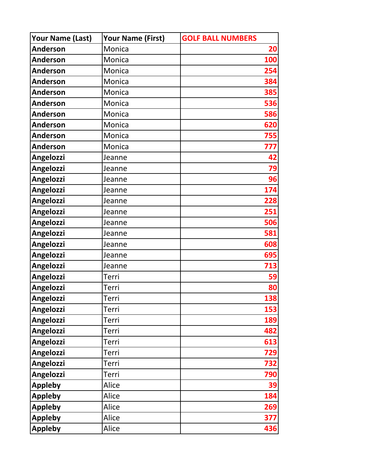| Your Name (Last) | Your Name (First) | <b>GOLF BALL NUMBERS</b> |
|------------------|-------------------|--------------------------|
| <b>Anderson</b>  | Monica            | <b>20</b>                |
| <b>Anderson</b>  | Monica            | 100                      |
| <b>Anderson</b>  | Monica            | 254                      |
| <b>Anderson</b>  | Monica            | 384                      |
| <b>Anderson</b>  | Monica            | 385                      |
| <b>Anderson</b>  | Monica            | 536                      |
| <b>Anderson</b>  | Monica            | 586                      |
| <b>Anderson</b>  | Monica            | 620                      |
| <b>Anderson</b>  | Monica            | 755                      |
| <b>Anderson</b>  | Monica            | 777                      |
| <b>Angelozzi</b> | Jeanne            | 42                       |
| Angelozzi        | Jeanne            | 79                       |
| Angelozzi        | Jeanne            | 96                       |
| Angelozzi        | Jeanne            | 174                      |
| Angelozzi        | Jeanne            | 228                      |
| Angelozzi        | Jeanne            | 251                      |
| Angelozzi        | Jeanne            | 506                      |
| Angelozzi        | Jeanne            | 581                      |
| Angelozzi        | Jeanne            | 608                      |
| Angelozzi        | Jeanne            | 695                      |
| Angelozzi        | Jeanne            | 713                      |
| Angelozzi        | Terri             | 59                       |
| Angelozzi        | Terri             | 80                       |
| Angelozzi        | Terri             | 138                      |
| Angelozzi        | Terri             | 153                      |
| Angelozzi        | <b>Terri</b>      | 189                      |
| Angelozzi        | Terri             | 482                      |
| Angelozzi        | Terri             | 613                      |
| Angelozzi        | Terri             | 729                      |
| Angelozzi        | Terri             | 732                      |
| Angelozzi        | Terri             | 790                      |
| <b>Appleby</b>   | Alice             | 39                       |
| <b>Appleby</b>   | Alice             | 184                      |
| <b>Appleby</b>   | Alice             | 269                      |
| <b>Appleby</b>   | Alice             | 377                      |
| <b>Appleby</b>   | Alice             | 436                      |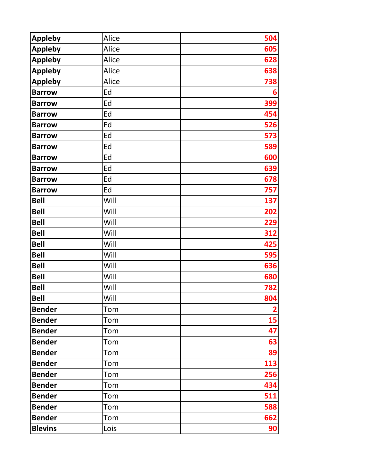| <b>Appleby</b> | Alice | 504 |
|----------------|-------|-----|
| <b>Appleby</b> | Alice | 605 |
| <b>Appleby</b> | Alice | 628 |
| <b>Appleby</b> | Alice | 638 |
| <b>Appleby</b> | Alice | 738 |
| <b>Barrow</b>  | Ed    | 6   |
| <b>Barrow</b>  | Ed    | 399 |
| <b>Barrow</b>  | Ed    | 454 |
| <b>Barrow</b>  | Ed    | 526 |
| <b>Barrow</b>  | Ed    | 573 |
| <b>Barrow</b>  | Ed    | 589 |
| <b>Barrow</b>  | Ed    | 600 |
| <b>Barrow</b>  | Ed    | 639 |
| <b>Barrow</b>  | Ed    | 678 |
| <b>Barrow</b>  | Ed    | 757 |
| <b>Bell</b>    | Will  | 137 |
| <b>Bell</b>    | Will  | 202 |
| <b>Bell</b>    | Will  | 229 |
| <b>Bell</b>    | Will  | 312 |
| <b>Bell</b>    | Will  | 425 |
| <b>Bell</b>    | Will  | 595 |
| <b>Bell</b>    | Will  | 636 |
| <b>Bell</b>    | Will  | 680 |
| <b>Bell</b>    | Will  | 782 |
| <b>Bell</b>    | Will  | 804 |
| <b>Bender</b>  | Tom   |     |
| <b>Bender</b>  | Tom   | 15  |
| <b>Bender</b>  | Tom   | 47  |
| <b>Bender</b>  | Tom   | 63  |
| <b>Bender</b>  | Tom   | 89  |
| <b>Bender</b>  | Tom   | 113 |
| <b>Bender</b>  | Tom   | 256 |
| <b>Bender</b>  | Tom   | 434 |
| <b>Bender</b>  | Tom   | 511 |
| <b>Bender</b>  | Tom   | 588 |
| <b>Bender</b>  | Tom   | 662 |
| <b>Blevins</b> | Lois  | 90  |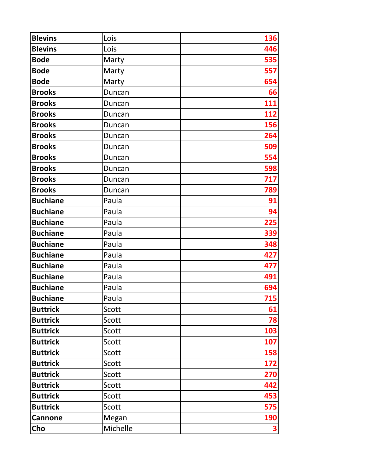| <b>Blevins</b>  | Lois     | 136        |
|-----------------|----------|------------|
| <b>Blevins</b>  | Lois     | 446        |
| <b>Bode</b>     | Marty    | 535        |
| <b>Bode</b>     | Marty    | 557        |
| <b>Bode</b>     | Marty    | 654        |
| <b>Brooks</b>   | Duncan   | 66         |
| <b>Brooks</b>   | Duncan   | 111        |
| <b>Brooks</b>   | Duncan   | 112        |
| <b>Brooks</b>   | Duncan   | 156        |
| <b>Brooks</b>   | Duncan   | 264        |
| <b>Brooks</b>   | Duncan   | 509        |
| <b>Brooks</b>   | Duncan   | 554        |
| <b>Brooks</b>   | Duncan   | 598        |
| <b>Brooks</b>   | Duncan   | 717        |
| <b>Brooks</b>   | Duncan   | 789        |
| <b>Buchiane</b> | Paula    | 91         |
| <b>Buchiane</b> | Paula    | 94         |
| <b>Buchiane</b> | Paula    | 225        |
| <b>Buchiane</b> | Paula    | 339        |
| <b>Buchiane</b> | Paula    | 348        |
| <b>Buchiane</b> | Paula    | 427        |
| <b>Buchiane</b> | Paula    | 477        |
| <b>Buchiane</b> | Paula    | 491        |
| <b>Buchiane</b> | Paula    | 694        |
| <b>Buchiane</b> | Paula    | 715        |
| <b>Buttrick</b> | Scott    | 61         |
| <b>Buttrick</b> | Scott    | 78         |
| <b>Buttrick</b> | Scott    | 103        |
| <b>Buttrick</b> | Scott    | 107        |
| <b>Buttrick</b> | Scott    | 158        |
| <b>Buttrick</b> | Scott    | 172        |
| <b>Buttrick</b> | Scott    | 270        |
| <b>Buttrick</b> | Scott    | 442        |
| <b>Buttrick</b> | Scott    | 453        |
| <b>Buttrick</b> | Scott    | 575        |
| <b>Cannone</b>  | Megan    | <b>190</b> |
| Cho             | Michelle | 3          |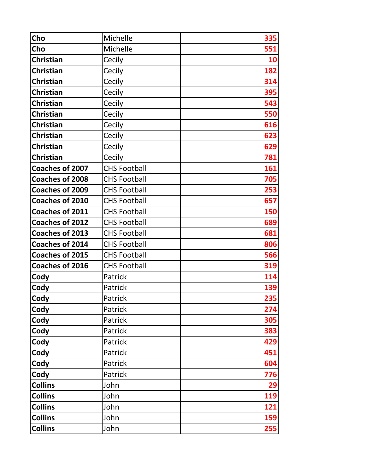| Cho                    | Michelle            | 335 |
|------------------------|---------------------|-----|
| Cho                    | Michelle            | 551 |
| <b>Christian</b>       | Cecily              | 10  |
| <b>Christian</b>       | Cecily              | 182 |
| <b>Christian</b>       | Cecily              | 314 |
| <b>Christian</b>       | Cecily              | 395 |
| <b>Christian</b>       | Cecily              | 543 |
| <b>Christian</b>       | Cecily              | 550 |
| <b>Christian</b>       | Cecily              | 616 |
| <b>Christian</b>       | Cecily              | 623 |
| <b>Christian</b>       | Cecily              | 629 |
| <b>Christian</b>       | Cecily              | 781 |
| <b>Coaches of 2007</b> | <b>CHS Football</b> | 161 |
| <b>Coaches of 2008</b> | <b>CHS Football</b> | 705 |
| Coaches of 2009        | <b>CHS Football</b> | 253 |
| <b>Coaches of 2010</b> | <b>CHS Football</b> | 657 |
| Coaches of 2011        | <b>CHS Football</b> | 150 |
| <b>Coaches of 2012</b> | <b>CHS Football</b> | 689 |
| <b>Coaches of 2013</b> | <b>CHS Football</b> | 681 |
| <b>Coaches of 2014</b> | <b>CHS Football</b> | 806 |
| Coaches of 2015        | <b>CHS Football</b> | 566 |
| <b>Coaches of 2016</b> | <b>CHS Football</b> | 319 |
| Cody                   | Patrick             | 114 |
| Cody                   | Patrick             | 139 |
| Cody                   | Patrick             | 235 |
| Cody                   | Patrick             | 274 |
| Cody                   | Patrick             | 305 |
| Cody                   | Patrick             | 383 |
| Cody                   | Patrick             | 429 |
| Cody                   | Patrick             | 451 |
| Cody                   | Patrick             | 604 |
| Cody                   | Patrick             | 776 |
| <b>Collins</b>         | John                | 29  |
| <b>Collins</b>         | John                | 119 |
| <b>Collins</b>         | John                | 121 |
| <b>Collins</b>         | John                | 159 |
| <b>Collins</b>         | John                | 255 |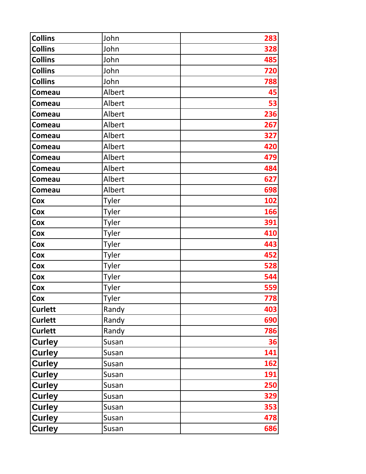| <b>Collins</b> | John         | 283 |
|----------------|--------------|-----|
| <b>Collins</b> | John         | 328 |
| <b>Collins</b> | John         | 485 |
| <b>Collins</b> | John         | 720 |
| <b>Collins</b> | John         | 788 |
| Comeau         | Albert       | 45  |
| Comeau         | Albert       | 53  |
| Comeau         | Albert       | 236 |
| Comeau         | Albert       | 267 |
| Comeau         | Albert       | 327 |
| Comeau         | Albert       | 420 |
| Comeau         | Albert       | 479 |
| Comeau         | Albert       | 484 |
| <b>Comeau</b>  | Albert       | 627 |
| Comeau         | Albert       | 698 |
| Cox            | Tyler        | 102 |
| Cox            | Tyler        | 166 |
| Cox            | Tyler        | 391 |
| Cox            | Tyler        | 410 |
| Cox            | Tyler        | 443 |
| Cox            | Tyler        | 452 |
| Cox            | Tyler        | 528 |
| Cox            | Tyler        | 544 |
| Cox            | Tyler        | 559 |
| Cox            | <b>Tyler</b> | 778 |
| <b>Curlett</b> | Randy        | 403 |
| <b>Curlett</b> | Randy        | 690 |
| <b>Curlett</b> | Randy        | 786 |
| <b>Curley</b>  | Susan        | 36  |
| <b>Curley</b>  | Susan        | 141 |
| <b>Curley</b>  | Susan        | 162 |
| <b>Curley</b>  | Susan        | 191 |
| <b>Curley</b>  | Susan        | 250 |
| <b>Curley</b>  | Susan        | 329 |
| <b>Curley</b>  | Susan        | 353 |
| <b>Curley</b>  | Susan        | 478 |
| <b>Curley</b>  | Susan        | 686 |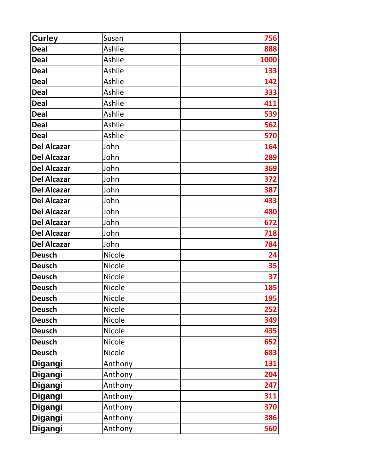| <b>Curley</b>      | Susan         | 756  |
|--------------------|---------------|------|
| <b>Deal</b>        | Ashlie        | 888  |
| <b>Deal</b>        | Ashlie        | 1000 |
| <b>Deal</b>        | Ashlie        | 133  |
| <b>Deal</b>        | Ashlie        | 142  |
| <b>Deal</b>        | Ashlie        | 333  |
| <b>Deal</b>        | Ashlie        | 411  |
| <b>Deal</b>        | Ashlie        | 539  |
| <b>Deal</b>        | Ashlie        | 562  |
| <b>Deal</b>        | Ashlie        | 570  |
| <b>Del Alcazar</b> | John          | 164  |
| <b>Del Alcazar</b> | John          | 289  |
| <b>Del Alcazar</b> | John          | 369  |
| <b>Del Alcazar</b> | John          | 372  |
| <b>Del Alcazar</b> | John          | 387  |
| <b>Del Alcazar</b> | John          | 433  |
| <b>Del Alcazar</b> | John          | 480  |
| <b>Del Alcazar</b> | John          | 672  |
| <b>Del Alcazar</b> | John          | 718  |
| <b>Del Alcazar</b> | John          | 784  |
| <b>Deusch</b>      | <b>Nicole</b> | 24   |
| <b>Deusch</b>      | <b>Nicole</b> | 35   |
| <b>Deusch</b>      | <b>Nicole</b> | 37   |
| <b>Deusch</b>      | <b>Nicole</b> | 185  |
| <b>Deusch</b>      | <b>Nicole</b> | 195  |
| <b>Deusch</b>      | Nicole        | 252  |
| <b>Deusch</b>      | Nicole        | 349  |
| <b>Deusch</b>      | Nicole        | 435  |
| <b>Deusch</b>      | Nicole        | 652  |
| <b>Deusch</b>      | Nicole        | 683  |
| Digangi            | Anthony       | 131  |
| Digangi            | Anthony       | 204  |
| Digangi            | Anthony       | 247  |
| Digangi            | Anthony       | 311  |
| Digangi            | Anthony       | 370  |
| Digangi            | Anthony       | 386  |
| Digangi            | Anthony       | 560  |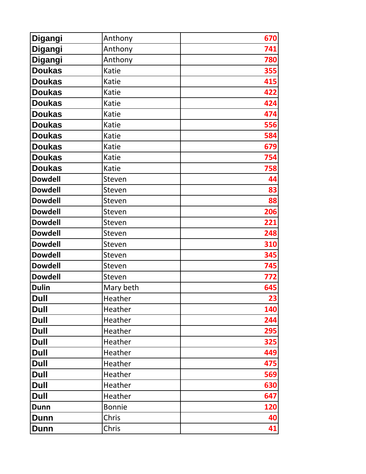| Digangi        | Anthony       | 670        |
|----------------|---------------|------------|
| Digangi        | Anthony       | 741        |
| Digangi        | Anthony       | 780        |
| <b>Doukas</b>  | Katie         | 355        |
| <b>Doukas</b>  | Katie         | 415        |
| <b>Doukas</b>  | Katie         | 422        |
| <b>Doukas</b>  | Katie         | 424        |
| <b>Doukas</b>  | Katie         | 474        |
| <b>Doukas</b>  | Katie         | 556        |
| <b>Doukas</b>  | Katie         | 584        |
| <b>Doukas</b>  | Katie         | 679        |
| <b>Doukas</b>  | Katie         | 754        |
| <b>Doukas</b>  | Katie         | 758        |
| <b>Dowdell</b> | Steven        | 44         |
| <b>Dowdell</b> | Steven        | 83         |
| <b>Dowdell</b> | Steven        | 88         |
| <b>Dowdell</b> | Steven        | 206        |
| <b>Dowdell</b> | Steven        | 221        |
| <b>Dowdell</b> | Steven        | 248        |
| <b>Dowdell</b> | Steven        | 310        |
| <b>Dowdell</b> | Steven        | 345        |
| <b>Dowdell</b> | Steven        | 745        |
| <b>Dowdell</b> | Steven        | 772        |
| <b>Dulin</b>   | Mary beth     | 645        |
| <b>Dull</b>    | Heather       | 23         |
| <b>Dull</b>    | Heather       | 140        |
| <b>Dull</b>    | Heather       | 244        |
| <b>Dull</b>    | Heather       | 295        |
| <b>Dull</b>    | Heather       | 325        |
| <b>Dull</b>    | Heather       | 449        |
| <b>Dull</b>    | Heather       | 475        |
| <b>Dull</b>    | Heather       | 569        |
| <b>Dull</b>    | Heather       | 630        |
| <b>Dull</b>    | Heather       | 647        |
| <b>Dunn</b>    | <b>Bonnie</b> | <b>120</b> |
| Dunn           | Chris         | 40         |
| <b>Dunn</b>    | Chris         | 41         |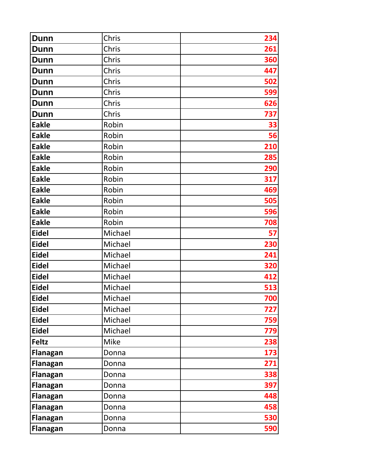| <b>Dunn</b>     | Chris       | 234 |
|-----------------|-------------|-----|
| <b>Dunn</b>     | Chris       | 261 |
| <b>Dunn</b>     | Chris       | 360 |
| <b>Dunn</b>     | Chris       | 447 |
| <b>Dunn</b>     | Chris       | 502 |
| <b>Dunn</b>     | Chris       | 599 |
| <b>Dunn</b>     | Chris       | 626 |
| <b>Dunn</b>     | Chris       | 737 |
| <b>Eakle</b>    | Robin       | 33  |
| <b>Eakle</b>    | Robin       | 56  |
| <b>Eakle</b>    | Robin       | 210 |
| <b>Eakle</b>    | Robin       | 285 |
| <b>Eakle</b>    | Robin       | 290 |
| <b>Eakle</b>    | Robin       | 317 |
| <b>Eakle</b>    | Robin       | 469 |
| <b>Eakle</b>    | Robin       | 505 |
| <b>Eakle</b>    | Robin       | 596 |
| <b>Eakle</b>    | Robin       | 708 |
| <b>Eidel</b>    | Michael     | 57  |
| <b>Eidel</b>    | Michael     | 230 |
| <b>Eidel</b>    | Michael     | 241 |
| <b>Eidel</b>    | Michael     | 320 |
| <b>Eidel</b>    | Michael     | 412 |
| <b>Eidel</b>    | Michael     | 513 |
| <b>Eidel</b>    | Michael     | 700 |
| <b>Eidel</b>    | Michael     | 727 |
| <b>Eidel</b>    | Michael     | 759 |
| <b>Eidel</b>    | Michael     | 779 |
| <b>Feltz</b>    | <b>Mike</b> | 238 |
| <b>Flanagan</b> | Donna       | 173 |
| Flanagan        | Donna       | 271 |
| <b>Flanagan</b> | Donna       | 338 |
| <b>Flanagan</b> | Donna       | 397 |
| <b>Flanagan</b> | Donna       | 448 |
| <b>Flanagan</b> | Donna       | 458 |
| <b>Flanagan</b> | Donna       | 530 |
| <b>Flanagan</b> | Donna       | 590 |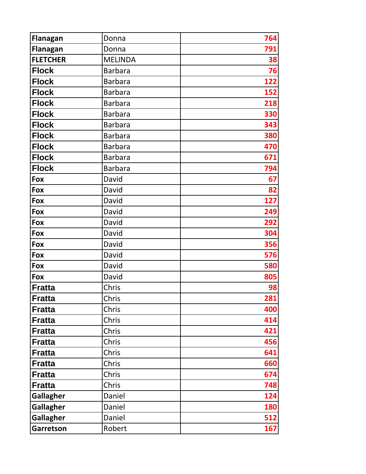| <b>Flanagan</b>  | Donna          | 764        |
|------------------|----------------|------------|
| <b>Flanagan</b>  | Donna          | 791        |
| <b>FLETCHER</b>  | <b>MELINDA</b> | 38         |
| <b>Flock</b>     | <b>Barbara</b> | 76         |
| <b>Flock</b>     | <b>Barbara</b> | 122        |
| <b>Flock</b>     | <b>Barbara</b> | 152        |
| <b>Flock</b>     | <b>Barbara</b> | 218        |
| <b>Flock</b>     | <b>Barbara</b> | 330        |
| <b>Flock</b>     | <b>Barbara</b> | 343        |
| <b>Flock</b>     | <b>Barbara</b> | 380        |
| <b>Flock</b>     | <b>Barbara</b> | 470        |
| <b>Flock</b>     | <b>Barbara</b> | 671        |
| <b>Flock</b>     | <b>Barbara</b> | 794        |
| Fox              | David          | 67         |
| Fox              | David          | 82         |
| Fox              | David          | 127        |
| Fox              | David          | 249        |
| Fox              | David          | 292        |
| Fox              | David          | 304        |
| Fox              | David          | 356        |
| Fox              | David          | 576        |
| Fox              | David          | 580        |
| Fox              | David          | 805        |
| <b>Fratta</b>    | Chris          | 98         |
| Fratta           | Chris          | 281        |
| <b>Fratta</b>    | Chris          | 400        |
| <b>Fratta</b>    | Chris          | 414        |
| <b>Fratta</b>    | Chris          | 421        |
| <b>Fratta</b>    | Chris          | 456        |
| <b>Fratta</b>    | Chris          | 641        |
| <b>Fratta</b>    | Chris          | 660        |
| <b>Fratta</b>    | Chris          | 674        |
| <b>Fratta</b>    | Chris          | 748        |
| <b>Gallagher</b> | Daniel         | 124        |
| <b>Gallagher</b> | Daniel         | <b>180</b> |
| <b>Gallagher</b> | Daniel         | 512        |
| Garretson        | Robert         | 167        |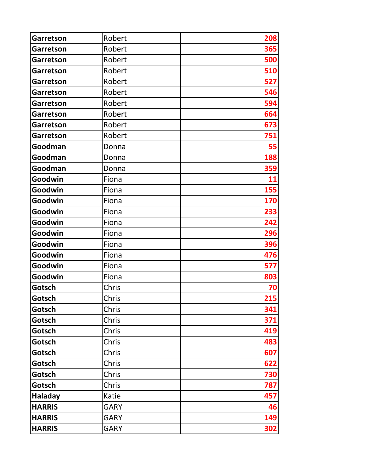| <b>Garretson</b> | Robert      | 208 |
|------------------|-------------|-----|
| <b>Garretson</b> | Robert      | 365 |
| <b>Garretson</b> | Robert      | 500 |
| <b>Garretson</b> | Robert      | 510 |
| <b>Garretson</b> | Robert      | 527 |
| <b>Garretson</b> | Robert      | 546 |
| <b>Garretson</b> | Robert      | 594 |
| <b>Garretson</b> | Robert      | 664 |
| <b>Garretson</b> | Robert      | 673 |
| <b>Garretson</b> | Robert      | 751 |
| Goodman          | Donna       | 55  |
| Goodman          | Donna       | 188 |
| Goodman          | Donna       | 359 |
| Goodwin          | Fiona       | 11  |
| Goodwin          | Fiona       | 155 |
| Goodwin          | Fiona       | 170 |
| Goodwin          | Fiona       | 233 |
| Goodwin          | Fiona       | 242 |
| Goodwin          | Fiona       | 296 |
| Goodwin          | Fiona       | 396 |
| Goodwin          | Fiona       | 476 |
| Goodwin          | Fiona       | 577 |
| Goodwin          | Fiona       | 803 |
| Gotsch           | Chris       | 70  |
| Gotsch           | Chris       | 215 |
| Gotsch           | Chris       | 341 |
| Gotsch           | Chris       | 371 |
| Gotsch           | Chris       | 419 |
| Gotsch           | Chris       | 483 |
| Gotsch           | Chris       | 607 |
| Gotsch           | Chris       | 622 |
| Gotsch           | Chris       | 730 |
| Gotsch           | Chris       | 787 |
| <b>Haladay</b>   | Katie       | 457 |
| <b>HARRIS</b>    | <b>GARY</b> | 46  |
| <b>HARRIS</b>    | <b>GARY</b> | 149 |
| <b>HARRIS</b>    | <b>GARY</b> | 302 |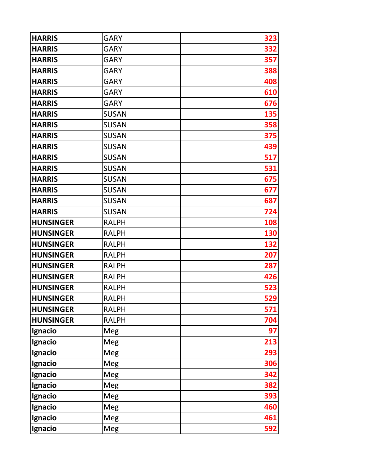| <b>HARRIS</b>    | <b>GARY</b>  | 323 |
|------------------|--------------|-----|
| <b>HARRIS</b>    | <b>GARY</b>  | 332 |
| <b>HARRIS</b>    | <b>GARY</b>  | 357 |
| <b>HARRIS</b>    | <b>GARY</b>  | 388 |
| <b>HARRIS</b>    | <b>GARY</b>  | 408 |
| <b>HARRIS</b>    | <b>GARY</b>  | 610 |
| <b>HARRIS</b>    | <b>GARY</b>  | 676 |
| <b>HARRIS</b>    | <b>SUSAN</b> | 135 |
| <b>HARRIS</b>    | <b>SUSAN</b> | 358 |
| <b>HARRIS</b>    | <b>SUSAN</b> | 375 |
| <b>HARRIS</b>    | <b>SUSAN</b> | 439 |
| <b>HARRIS</b>    | <b>SUSAN</b> | 517 |
| <b>HARRIS</b>    | <b>SUSAN</b> | 531 |
| <b>HARRIS</b>    | <b>SUSAN</b> | 675 |
| <b>HARRIS</b>    | <b>SUSAN</b> | 677 |
| <b>HARRIS</b>    | <b>SUSAN</b> | 687 |
| <b>HARRIS</b>    | <b>SUSAN</b> | 724 |
| <b>HUNSINGER</b> | <b>RALPH</b> | 108 |
| <b>HUNSINGER</b> | <b>RALPH</b> | 130 |
| <b>HUNSINGER</b> | <b>RALPH</b> | 132 |
| <b>HUNSINGER</b> | <b>RALPH</b> | 207 |
| <b>HUNSINGER</b> | <b>RALPH</b> | 287 |
| <b>HUNSINGER</b> | <b>RALPH</b> | 426 |
| <b>HUNSINGER</b> | <b>RALPH</b> | 523 |
| <b>HUNSINGER</b> | <b>RALPH</b> | 529 |
| <b>HUNSINGER</b> | <b>RALPH</b> | 571 |
| <b>HUNSINGER</b> | <b>RALPH</b> | 704 |
| Ignacio          | Meg          | 97  |
| Ignacio          | Meg          | 213 |
| Ignacio          | Meg          | 293 |
| Ignacio          | Meg          | 306 |
| Ignacio          | Meg          | 342 |
| Ignacio          | Meg          | 382 |
| Ignacio          | Meg          | 393 |
| Ignacio          | Meg          | 460 |
| Ignacio          | Meg          | 461 |
| Ignacio          | Meg          | 592 |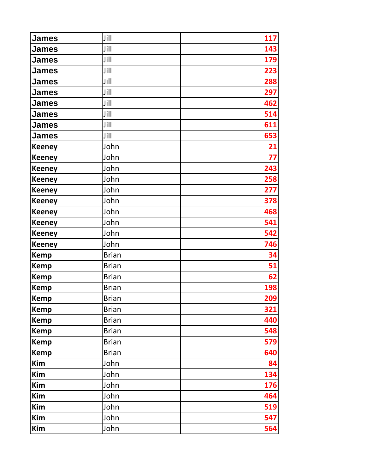| <b>James</b>  | Jill         | 117 |
|---------------|--------------|-----|
| James         | Jill         | 143 |
| James         | Jill         | 179 |
| James         | Jill         | 223 |
| James         | Jill         | 288 |
| <b>James</b>  | Jill         | 297 |
| <b>James</b>  | Jill         | 462 |
| James         | Jill         | 514 |
| James         | Jill         | 611 |
| James         | Jill         | 653 |
| <b>Keeney</b> | John         | 21  |
| <b>Keeney</b> | John         | 77  |
| <b>Keeney</b> | John         | 243 |
| <b>Keeney</b> | John         | 258 |
| <b>Keeney</b> | John         | 277 |
| <b>Keeney</b> | John         | 378 |
| <b>Keeney</b> | John         | 468 |
| <b>Keeney</b> | John         | 541 |
| <b>Keeney</b> | John         | 542 |
| <b>Keeney</b> | John         | 746 |
| <b>Kemp</b>   | <b>Brian</b> | 34  |
| <b>Kemp</b>   | <b>Brian</b> | 51  |
| <b>Kemp</b>   | <b>Brian</b> | 62  |
| <b>Kemp</b>   | <b>Brian</b> | 198 |
| Kemp          | <b>Brian</b> | 209 |
| <b>Kemp</b>   | <b>Brian</b> | 321 |
| <b>Kemp</b>   | <b>Brian</b> | 440 |
| <b>Kemp</b>   | <b>Brian</b> | 548 |
| <b>Kemp</b>   | <b>Brian</b> | 579 |
| <b>Kemp</b>   | <b>Brian</b> | 640 |
| Kim           | John         | 84  |
| Kim           | John         | 134 |
| Kim           | John         | 176 |
| Kim           | John         | 464 |
| Kim           | John         | 519 |
| Kim           | John         | 547 |
| Kim           | John         | 564 |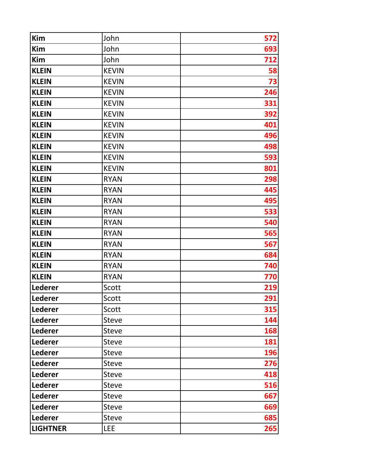| Kim             | John         | 572 |
|-----------------|--------------|-----|
| Kim             | John         | 693 |
| Kim             | John         | 712 |
| <b>KLEIN</b>    | <b>KEVIN</b> | 58  |
| <b>KLEIN</b>    | <b>KEVIN</b> | 73  |
| <b>KLEIN</b>    | <b>KEVIN</b> | 246 |
| <b>KLEIN</b>    | <b>KEVIN</b> | 331 |
| <b>KLEIN</b>    | <b>KEVIN</b> | 392 |
| <b>KLEIN</b>    | <b>KEVIN</b> | 401 |
| <b>KLEIN</b>    | <b>KEVIN</b> | 496 |
| <b>KLEIN</b>    | <b>KEVIN</b> | 498 |
| <b>KLEIN</b>    | <b>KEVIN</b> | 593 |
| <b>KLEIN</b>    | <b>KEVIN</b> | 801 |
| <b>KLEIN</b>    | <b>RYAN</b>  | 298 |
| <b>KLEIN</b>    | <b>RYAN</b>  | 445 |
| <b>KLEIN</b>    | <b>RYAN</b>  | 495 |
| <b>KLEIN</b>    | <b>RYAN</b>  | 533 |
| <b>KLEIN</b>    | <b>RYAN</b>  | 540 |
| <b>KLEIN</b>    | <b>RYAN</b>  | 565 |
| <b>KLEIN</b>    | <b>RYAN</b>  | 567 |
| <b>KLEIN</b>    | <b>RYAN</b>  | 684 |
| <b>KLEIN</b>    | <b>RYAN</b>  | 740 |
| <b>KLEIN</b>    | <b>RYAN</b>  | 770 |
| <b>Lederer</b>  | Scott        | 219 |
| Lederer         | Scott        | 291 |
| <b>Lederer</b>  | Scott        | 315 |
| Lederer         | <b>Steve</b> | 144 |
| <b>Lederer</b>  | <b>Steve</b> | 168 |
| Lederer         | <b>Steve</b> | 181 |
| <b>Lederer</b>  | <b>Steve</b> | 196 |
| Lederer         | <b>Steve</b> | 276 |
| <b>Lederer</b>  | <b>Steve</b> | 418 |
| Lederer         | <b>Steve</b> | 516 |
| <b>Lederer</b>  | <b>Steve</b> | 667 |
| Lederer         | <b>Steve</b> | 669 |
| Lederer         | <b>Steve</b> | 685 |
| <b>LIGHTNER</b> | <b>LEE</b>   | 265 |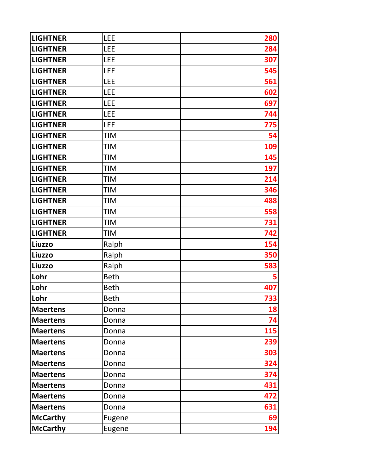| <b>LIGHTNER</b> | <b>LEE</b>  | 280 |
|-----------------|-------------|-----|
| <b>LIGHTNER</b> | <b>LEE</b>  | 284 |
| <b>LIGHTNER</b> | <b>LEE</b>  | 307 |
| <b>LIGHTNER</b> | <b>LEE</b>  | 545 |
| <b>LIGHTNER</b> | <b>LEE</b>  | 561 |
| <b>LIGHTNER</b> | <b>LEE</b>  | 602 |
| <b>LIGHTNER</b> | <b>LEE</b>  | 697 |
| <b>LIGHTNER</b> | <b>LEE</b>  | 744 |
| <b>LIGHTNER</b> | <b>LEE</b>  | 775 |
| <b>LIGHTNER</b> | <b>TIM</b>  | 54  |
| <b>LIGHTNER</b> | <b>TIM</b>  | 109 |
| <b>LIGHTNER</b> | <b>TIM</b>  | 145 |
| <b>LIGHTNER</b> | <b>TIM</b>  | 197 |
| <b>LIGHTNER</b> | <b>TIM</b>  | 214 |
| <b>LIGHTNER</b> | <b>TIM</b>  | 346 |
| <b>LIGHTNER</b> | <b>TIM</b>  | 488 |
| <b>LIGHTNER</b> | <b>TIM</b>  | 558 |
| <b>LIGHTNER</b> | <b>TIM</b>  | 731 |
| <b>LIGHTNER</b> | <b>TIM</b>  | 742 |
| Liuzzo          | Ralph       | 154 |
| Liuzzo          | Ralph       | 350 |
| Liuzzo          | Ralph       | 583 |
| Lohr            | <b>Beth</b> |     |
| Lohr            | <b>Beth</b> | 407 |
| Lohr            | <b>Beth</b> | 733 |
| <b>Maertens</b> | Donna       | 18  |
| <b>Maertens</b> | Donna       | 74  |
| <b>Maertens</b> | Donna       | 115 |
| <b>Maertens</b> | Donna       | 239 |
| <b>Maertens</b> | Donna       | 303 |
| <b>Maertens</b> | Donna       | 324 |
| <b>Maertens</b> | Donna       | 374 |
| <b>Maertens</b> | Donna       | 431 |
| <b>Maertens</b> | Donna       | 472 |
| <b>Maertens</b> | Donna       | 631 |
| <b>McCarthy</b> | Eugene      | 69  |
| <b>McCarthy</b> | Eugene      | 194 |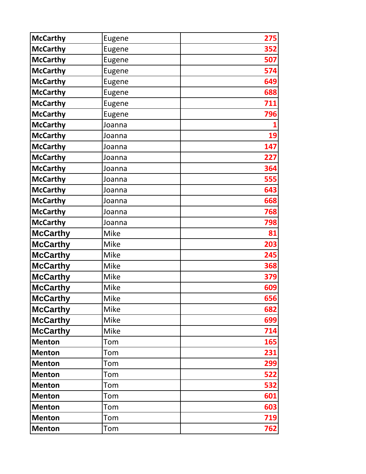| <b>McCarthy</b> | Eugene      | 275 |
|-----------------|-------------|-----|
| <b>McCarthy</b> | Eugene      | 352 |
| <b>McCarthy</b> | Eugene      | 507 |
| <b>McCarthy</b> | Eugene      | 574 |
| <b>McCarthy</b> | Eugene      | 649 |
| <b>McCarthy</b> | Eugene      | 688 |
| <b>McCarthy</b> | Eugene      | 711 |
| <b>McCarthy</b> | Eugene      | 796 |
| <b>McCarthy</b> | Joanna      |     |
| <b>McCarthy</b> | Joanna      | 19  |
| <b>McCarthy</b> | Joanna      | 147 |
| <b>McCarthy</b> | Joanna      | 227 |
| <b>McCarthy</b> | Joanna      | 364 |
| <b>McCarthy</b> | Joanna      | 555 |
| <b>McCarthy</b> | Joanna      | 643 |
| <b>McCarthy</b> | Joanna      | 668 |
| <b>McCarthy</b> | Joanna      | 768 |
| <b>McCarthy</b> | Joanna      | 798 |
| <b>McCarthy</b> | <b>Mike</b> | 81  |
| <b>McCarthy</b> | Mike        | 203 |
| <b>McCarthy</b> | <b>Mike</b> | 245 |
| <b>McCarthy</b> | Mike        | 368 |
| <b>McCarthy</b> | <b>Mike</b> | 379 |
| <b>McCarthy</b> | <b>Mike</b> | 609 |
| <b>McCarthy</b> | Mike        | 656 |
| <b>McCarthy</b> | <b>Mike</b> | 682 |
| <b>McCarthy</b> | <b>Mike</b> | 699 |
| <b>McCarthy</b> | Mike        | 714 |
| <b>Menton</b>   | Tom         | 165 |
| <b>Menton</b>   | Tom         | 231 |
| <b>Menton</b>   | Tom         | 299 |
| <b>Menton</b>   | Tom         | 522 |
| <b>Menton</b>   | Tom         | 532 |
| <b>Menton</b>   | Tom         | 601 |
| <b>Menton</b>   | Tom         | 603 |
| <b>Menton</b>   | Tom         | 719 |
| <b>Menton</b>   | Tom         | 762 |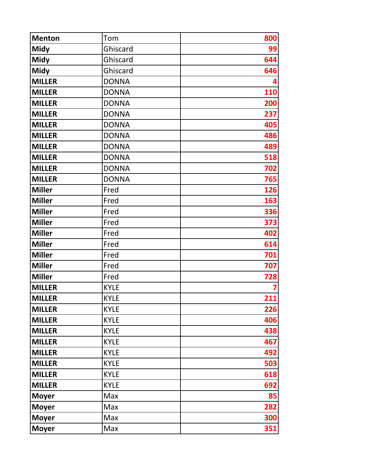| <b>Menton</b> | Tom          | 800 |
|---------------|--------------|-----|
| <b>Midy</b>   | Ghiscard     | 99  |
| <b>Midy</b>   | Ghiscard     | 644 |
| <b>Midy</b>   | Ghiscard     | 646 |
| <b>MILLER</b> | <b>DONNA</b> |     |
| <b>MILLER</b> | <b>DONNA</b> | 110 |
| <b>MILLER</b> | <b>DONNA</b> | 200 |
| <b>MILLER</b> | <b>DONNA</b> | 237 |
| <b>MILLER</b> | <b>DONNA</b> | 405 |
| <b>MILLER</b> | <b>DONNA</b> | 486 |
| <b>MILLER</b> | <b>DONNA</b> | 489 |
| <b>MILLER</b> | <b>DONNA</b> | 518 |
| <b>MILLER</b> | <b>DONNA</b> | 702 |
| <b>MILLER</b> | <b>DONNA</b> | 765 |
| <b>Miller</b> | Fred         | 126 |
| <b>Miller</b> | Fred         | 163 |
| <b>Miller</b> | Fred         | 336 |
| <b>Miller</b> | Fred         | 373 |
| <b>Miller</b> | Fred         | 402 |
| <b>Miller</b> | Fred         | 614 |
| <b>Miller</b> | Fred         | 701 |
| <b>Miller</b> | Fred         | 707 |
| <b>Miller</b> | Fred         | 728 |
| <b>MILLER</b> | <b>KYLE</b>  |     |
| <b>MILLER</b> | <b>KYLE</b>  | 211 |
| <b>MILLER</b> | <b>KYLE</b>  | 226 |
| <b>MILLER</b> | <b>KYLE</b>  | 406 |
| <b>MILLER</b> | <b>KYLE</b>  | 438 |
| <b>MILLER</b> | <b>KYLE</b>  | 467 |
| <b>MILLER</b> | <b>KYLE</b>  | 492 |
| <b>MILLER</b> | <b>KYLE</b>  | 503 |
| <b>MILLER</b> | <b>KYLE</b>  | 618 |
| <b>MILLER</b> | <b>KYLE</b>  | 692 |
| <b>Moyer</b>  | Max          | 85  |
| <b>Moyer</b>  | Max          | 282 |
| <b>Moyer</b>  | Max          | 300 |
| <b>Moyer</b>  | Max          | 351 |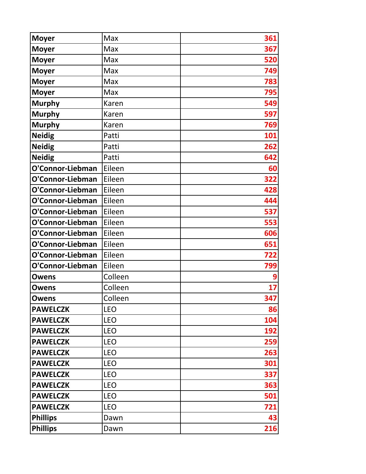| <b>Moyer</b>     | Max        | 361 |
|------------------|------------|-----|
| <b>Moyer</b>     | Max        | 367 |
| <b>Moyer</b>     | Max        | 520 |
| <b>Moyer</b>     | Max        | 749 |
| <b>Moyer</b>     | Max        | 783 |
| <b>Moyer</b>     | Max        | 795 |
| <b>Murphy</b>    | Karen      | 549 |
| <b>Murphy</b>    | Karen      | 597 |
| <b>Murphy</b>    | Karen      | 769 |
| <b>Neidig</b>    | Patti      | 101 |
| <b>Neidig</b>    | Patti      | 262 |
| <b>Neidig</b>    | Patti      | 642 |
| O'Connor-Liebman | Eileen     | 60  |
| O'Connor-Liebman | Eileen     | 322 |
| O'Connor-Liebman | Eileen     | 428 |
| O'Connor-Liebman | Eileen     | 444 |
| O'Connor-Liebman | Eileen     | 537 |
| O'Connor-Liebman | Eileen     | 553 |
| O'Connor-Liebman | Eileen     | 606 |
| O'Connor-Liebman | Eileen     | 651 |
| O'Connor-Liebman | Eileen     | 722 |
| O'Connor-Liebman | Eileen     | 799 |
| Owens            | Colleen    |     |
| Owens            | Colleen    | 17  |
| <b>Owens</b>     | Colleen    | 347 |
| <b>PAWELCZK</b>  | <b>LEO</b> | 86  |
| <b>PAWELCZK</b>  | <b>LEO</b> | 104 |
| <b>PAWELCZK</b>  | <b>LEO</b> | 192 |
| <b>PAWELCZK</b>  | <b>LEO</b> | 259 |
| <b>PAWELCZK</b>  | <b>LEO</b> | 263 |
| <b>PAWELCZK</b>  | <b>LEO</b> | 301 |
| <b>PAWELCZK</b>  | <b>LEO</b> | 337 |
| <b>PAWELCZK</b>  | <b>LEO</b> | 363 |
| <b>PAWELCZK</b>  | <b>LEO</b> | 501 |
| <b>PAWELCZK</b>  | <b>LEO</b> | 721 |
| <b>Phillips</b>  | Dawn       | 43  |
| <b>Phillips</b>  | Dawn       | 216 |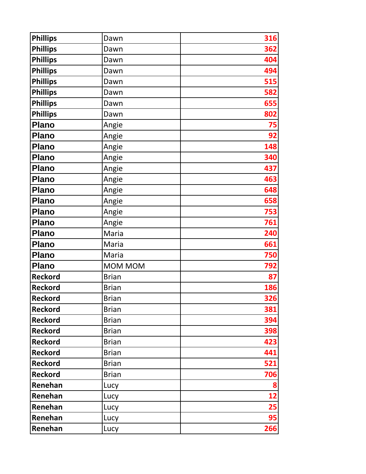| <b>Phillips</b> | Dawn         | 316 |
|-----------------|--------------|-----|
| <b>Phillips</b> | Dawn         | 362 |
| <b>Phillips</b> | Dawn         | 404 |
| <b>Phillips</b> | Dawn         | 494 |
| <b>Phillips</b> | Dawn         | 515 |
| <b>Phillips</b> | Dawn         | 582 |
| <b>Phillips</b> | Dawn         | 655 |
| <b>Phillips</b> | Dawn         | 802 |
| <b>Plano</b>    | Angie        | 75  |
| <b>Plano</b>    | Angie        | 92  |
| <b>Plano</b>    | Angie        | 148 |
| <b>Plano</b>    | Angie        | 340 |
| <b>Plano</b>    | Angie        | 437 |
| <b>Plano</b>    | Angie        | 463 |
| <b>Plano</b>    | Angie        | 648 |
| <b>Plano</b>    | Angie        | 658 |
| <b>Plano</b>    | Angie        | 753 |
| <b>Plano</b>    | Angie        | 761 |
| <b>Plano</b>    | Maria        | 240 |
| Plano           | Maria        | 661 |
| <b>Plano</b>    | Maria        | 750 |
| <b>Plano</b>    | MOM MOM      | 792 |
| <b>Reckord</b>  | <b>Brian</b> | 87  |
| <b>Reckord</b>  | <b>Brian</b> | 186 |
| <b>Reckord</b>  | <b>Brian</b> | 326 |
| <b>Reckord</b>  | <b>Brian</b> | 381 |
| <b>Reckord</b>  | <b>Brian</b> | 394 |
| <b>Reckord</b>  | <b>Brian</b> | 398 |
| <b>Reckord</b>  | <b>Brian</b> | 423 |
| <b>Reckord</b>  | <b>Brian</b> | 441 |
| <b>Reckord</b>  | <b>Brian</b> | 521 |
| <b>Reckord</b>  | <b>Brian</b> | 706 |
| Renehan         | Lucy         | 8   |
| Renehan         | Lucy         | 12  |
| Renehan         | Lucy         | 25  |
| Renehan         | Lucy         | 95  |
| Renehan         | Lucy         | 266 |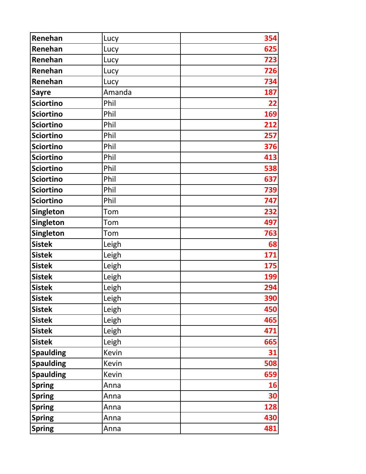| Renehan          | Lucy   | 354        |
|------------------|--------|------------|
| Renehan          | Lucy   | 625        |
| Renehan          | Lucy   | 723        |
| Renehan          | Lucy   | 726        |
| Renehan          | Lucy   | 734        |
| <b>Sayre</b>     | Amanda | 187        |
| <b>Sciortino</b> | Phil   | 22         |
| <b>Sciortino</b> | Phil   | 169        |
| <b>Sciortino</b> | Phil   | 212        |
| <b>Sciortino</b> | Phil   | 257        |
| <b>Sciortino</b> | Phil   | 376        |
| <b>Sciortino</b> | Phil   | 413        |
| <b>Sciortino</b> | Phil   | 538        |
| <b>Sciortino</b> | Phil   | 637        |
| <b>Sciortino</b> | Phil   | 739        |
| <b>Sciortino</b> | Phil   | 747        |
| <b>Singleton</b> | Tom    | 232        |
| Singleton        | Tom    | 497        |
| <b>Singleton</b> | Tom    | 763        |
| <b>Sistek</b>    | Leigh  | 68         |
| <b>Sistek</b>    | Leigh  | 171        |
| <b>Sistek</b>    | Leigh  | 175        |
| <b>Sistek</b>    | Leigh  | 199        |
| <b>Sistek</b>    | Leigh  | 294        |
| <b>Sistek</b>    | Leigh  | <b>390</b> |
| <b>Sistek</b>    | Leigh  | 450        |
| <b>Sistek</b>    | Leigh  | 465        |
| <b>Sistek</b>    | Leigh  | 471        |
| <b>Sistek</b>    | Leigh  | 665        |
| <b>Spaulding</b> | Kevin  | 31         |
| <b>Spaulding</b> | Kevin  | 508        |
| <b>Spaulding</b> | Kevin  | 659        |
| <b>Spring</b>    | Anna   | 16         |
| <b>Spring</b>    | Anna   | 30         |
| <b>Spring</b>    | Anna   | 128        |
| <b>Spring</b>    | Anna   | 430        |
| <b>Spring</b>    | Anna   | 481        |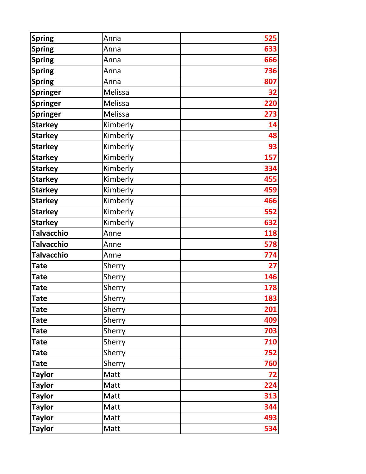| <b>Spring</b>     | Anna     | 525 |
|-------------------|----------|-----|
| <b>Spring</b>     | Anna     | 633 |
| <b>Spring</b>     | Anna     | 666 |
| <b>Spring</b>     | Anna     | 736 |
| <b>Spring</b>     | Anna     | 807 |
| <b>Springer</b>   | Melissa  | 32  |
| <b>Springer</b>   | Melissa  | 220 |
| <b>Springer</b>   | Melissa  | 273 |
| <b>Starkey</b>    | Kimberly | 14  |
| <b>Starkey</b>    | Kimberly | 48  |
| <b>Starkey</b>    | Kimberly | 93  |
| <b>Starkey</b>    | Kimberly | 157 |
| <b>Starkey</b>    | Kimberly | 334 |
| <b>Starkey</b>    | Kimberly | 455 |
| <b>Starkey</b>    | Kimberly | 459 |
| <b>Starkey</b>    | Kimberly | 466 |
| <b>Starkey</b>    | Kimberly | 552 |
| <b>Starkey</b>    | Kimberly | 632 |
| <b>Talvacchio</b> | Anne     | 118 |
| <b>Talvacchio</b> | Anne     | 578 |
| <b>Talvacchio</b> | Anne     | 774 |
| <b>Tate</b>       | Sherry   | 27  |
| <b>Tate</b>       | Sherry   | 146 |
| <b>Tate</b>       | Sherry   | 178 |
| <b>Tate</b>       | Sherry   | 183 |
| <b>Tate</b>       | Sherry   | 201 |
| <b>Tate</b>       | Sherry   | 409 |
| Tate              | Sherry   | 703 |
| <b>Tate</b>       | Sherry   | 710 |
| Tate              | Sherry   | 752 |
| <b>Tate</b>       | Sherry   | 760 |
| <b>Taylor</b>     | Matt     | 72  |
| <b>Taylor</b>     | Matt     | 224 |
| <b>Taylor</b>     | Matt     | 313 |
| <b>Taylor</b>     | Matt     | 344 |
| <b>Taylor</b>     | Matt     | 493 |
| <b>Taylor</b>     | Matt     | 534 |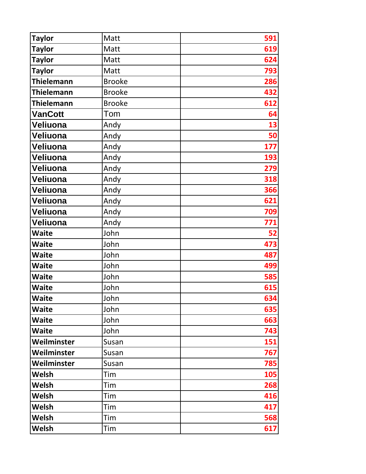| <b>Taylor</b>     | Matt          | 591 |
|-------------------|---------------|-----|
| <b>Taylor</b>     | Matt          | 619 |
| <b>Taylor</b>     | Matt          | 624 |
| <b>Taylor</b>     | Matt          | 793 |
| <b>Thielemann</b> | <b>Brooke</b> | 286 |
| <b>Thielemann</b> | <b>Brooke</b> | 432 |
| <b>Thielemann</b> | <b>Brooke</b> | 612 |
| <b>VanCott</b>    | Tom           | 64  |
| Veliuona          | Andy          | 13  |
| Veliuona          | Andy          | 50  |
| Veliuona          | Andy          | 177 |
| Veliuona          | Andy          | 193 |
| Veliuona          | Andy          | 279 |
| Veliuona          | Andy          | 318 |
| Veliuona          | Andy          | 366 |
| Veliuona          | Andy          | 621 |
| Veliuona          | Andy          | 709 |
| Veliuona          | Andy          | 771 |
| <b>Waite</b>      | John          | 52  |
| <b>Waite</b>      | John          | 473 |
| <b>Waite</b>      | John          | 487 |
| <b>Waite</b>      | John          | 499 |
| <b>Waite</b>      | John          | 585 |
| <b>Waite</b>      | John          | 615 |
| <b>Waite</b>      | John          | 634 |
| <b>Waite</b>      | John          | 635 |
| <b>Waite</b>      | John          | 663 |
| <b>Waite</b>      | John          | 743 |
| Weilminster       | Susan         | 151 |
| Weilminster       | Susan         | 767 |
| Weilminster       | Susan         | 785 |
| Welsh             | Tim           | 105 |
| Welsh             | Tim           | 268 |
| Welsh             | Tim           | 416 |
| Welsh             | Tim           | 417 |
| Welsh             | Tim           | 568 |
| Welsh             | Tim           | 617 |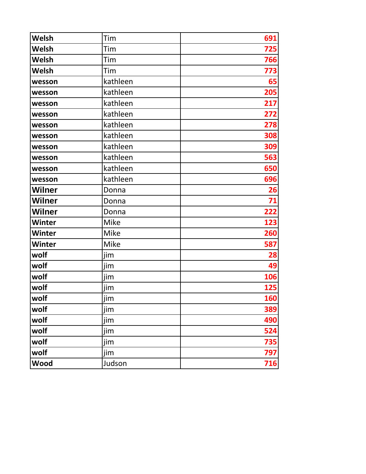| Welsh         | Tim         | 691 |
|---------------|-------------|-----|
| Welsh         | Tim         | 725 |
| Welsh         | Tim         | 766 |
| Welsh         | Tim         | 773 |
| wesson        | kathleen    | 65  |
| wesson        | kathleen    | 205 |
| wesson        | kathleen    | 217 |
| wesson        | kathleen    | 272 |
| wesson        | kathleen    | 278 |
| wesson        | kathleen    | 308 |
| wesson        | kathleen    | 309 |
| wesson        | kathleen    | 563 |
| wesson        | kathleen    | 650 |
| wesson        | kathleen    | 696 |
| Wilner        | Donna       | 26  |
| <b>Wilner</b> | Donna       | 71  |
| Wilner        | Donna       | 222 |
| <b>Winter</b> | Mike        | 123 |
| <b>Winter</b> | <b>Mike</b> | 260 |
| <b>Winter</b> | <b>Mike</b> | 587 |
| wolf          | jim         | 28  |
| wolf          | jim         | 49  |
| wolf          | jim         | 106 |
| wolf          | jim         | 125 |
| wolf          | jim         | 160 |
| wolf          | jim         | 389 |
| wolf          | jim         | 490 |
| wolf          | jim         | 524 |
| wolf          | jim         | 735 |
| wolf          | jim         | 797 |
| Wood          | Judson      | 716 |